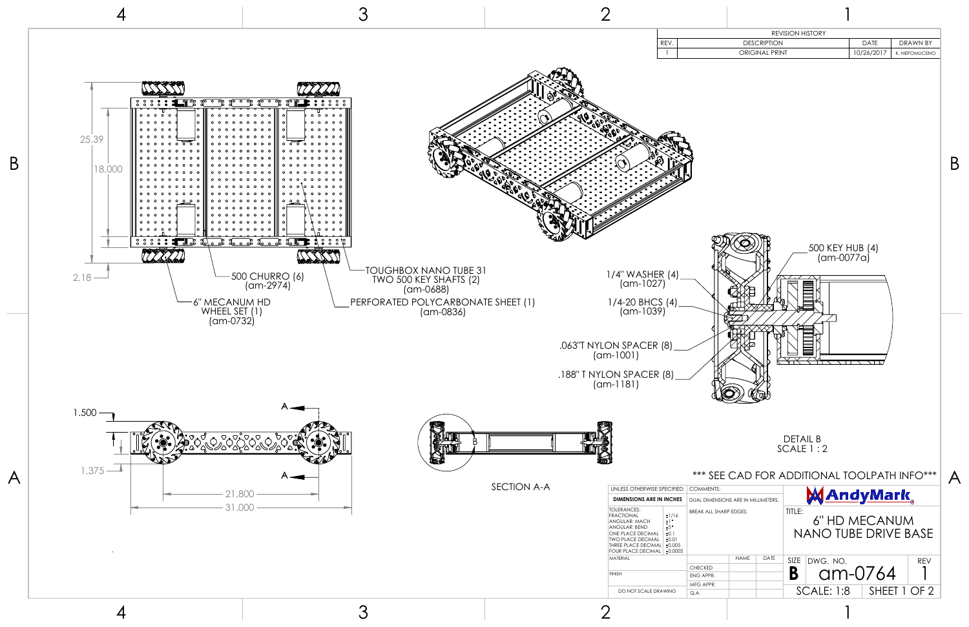

1

SHEET 1 OF 2

| <b>REVISION HISTORY</b><br>DATE<br>REV.<br><b>DESCRIPTION</b><br><b>DRAWN BY</b><br>ORIGINAL PRINT<br>10/26/2017<br>K. NEPOMUCENO<br>500 KEY HUB (4)<br>(am-0077a)<br>(8)<br>IV<br>⊵<br>(8)<br><b>DETAIL B</b><br>SCALE 1:2<br>*** SEE CAD FOR ADDITIONAL TOOLPATH INFO***<br>PECIFIED:<br><b>COMMENTS:</b><br><u>AndyMark </u><br><b>I INCHES</b><br>DUAL DIMENSIONS ARE IN MILLIMETERS.<br>TITLE:<br>BREAK ALL SHARP EDGES.<br>±1/16<br>6" HD MECANUM<br>$\pm$ 1 $\degree$<br>±5°<br><b>NANO TUBE DRIVE BASE</b><br>±0.1<br>±0.01 |                               |  |  |  |  |
|-------------------------------------------------------------------------------------------------------------------------------------------------------------------------------------------------------------------------------------------------------------------------------------------------------------------------------------------------------------------------------------------------------------------------------------------------------------------------------------------------------------------------------------|-------------------------------|--|--|--|--|
|                                                                                                                                                                                                                                                                                                                                                                                                                                                                                                                                     |                               |  |  |  |  |
|                                                                                                                                                                                                                                                                                                                                                                                                                                                                                                                                     |                               |  |  |  |  |
|                                                                                                                                                                                                                                                                                                                                                                                                                                                                                                                                     | $\mathbf{1}$                  |  |  |  |  |
|                                                                                                                                                                                                                                                                                                                                                                                                                                                                                                                                     | २ (4)<br>′)<br>$\binom{3}{2}$ |  |  |  |  |
| ±0.0005                                                                                                                                                                                                                                                                                                                                                                                                                                                                                                                             | ±0.005                        |  |  |  |  |

**B** SCALE: 1:8 am-0764

1